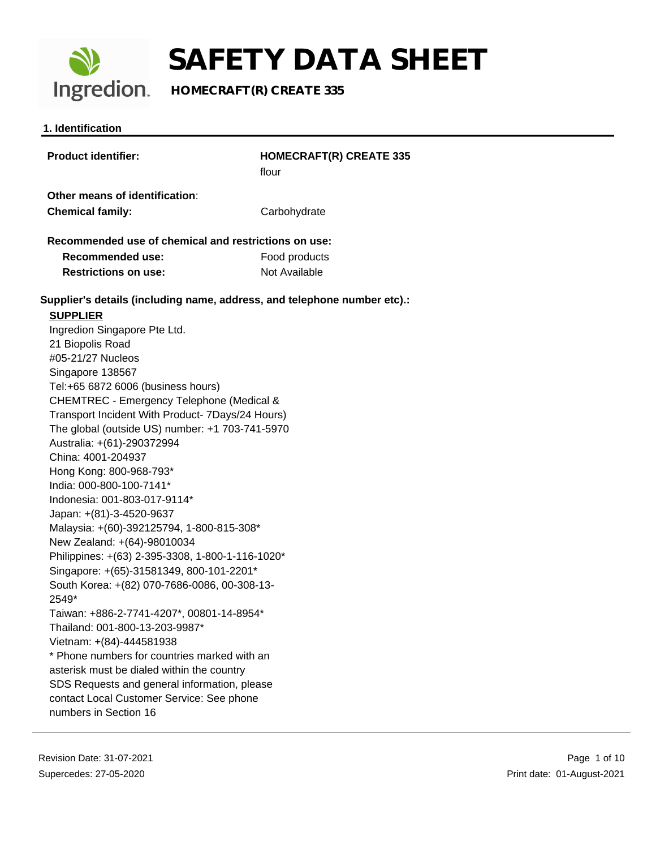

**Ingredion** HOMECRAFT(R) CREATE 335

#### **1. Identification**

| <b>Product identifier:</b>                                               | <b>HOMECRAFT(R) CREATE 335</b><br>flour |  |
|--------------------------------------------------------------------------|-----------------------------------------|--|
|                                                                          |                                         |  |
| Other means of identification:                                           |                                         |  |
| <b>Chemical family:</b>                                                  | Carbohydrate                            |  |
| Recommended use of chemical and restrictions on use:                     |                                         |  |
| <b>Recommended use:</b>                                                  | Food products                           |  |
| <b>Restrictions on use:</b>                                              | Not Available                           |  |
| Supplier's details (including name, address, and telephone number etc).: |                                         |  |
| <b>SUPPLIER</b>                                                          |                                         |  |
| Ingredion Singapore Pte Ltd.                                             |                                         |  |
| 21 Biopolis Road                                                         |                                         |  |
| #05-21/27 Nucleos                                                        |                                         |  |
| Singapore 138567                                                         |                                         |  |
| Tel:+65 6872 6006 (business hours)                                       |                                         |  |
| CHEMTREC - Emergency Telephone (Medical &                                |                                         |  |
| Transport Incident With Product- 7Days/24 Hours)                         |                                         |  |
| The global (outside US) number: +1 703-741-5970                          |                                         |  |
| Australia: +(61)-290372994                                               |                                         |  |
| China: 4001-204937                                                       |                                         |  |
| Hong Kong: 800-968-793*                                                  |                                         |  |
| India: 000-800-100-7141*                                                 |                                         |  |
| Indonesia: 001-803-017-9114*                                             |                                         |  |
| Japan: +(81)-3-4520-9637                                                 |                                         |  |
| Malaysia: +(60)-392125794, 1-800-815-308*                                |                                         |  |
| New Zealand: +(64)-98010034                                              |                                         |  |
| Philippines: +(63) 2-395-3308, 1-800-1-116-1020*                         |                                         |  |
| Singapore: +(65)-31581349, 800-101-2201*                                 |                                         |  |
| South Korea: +(82) 070-7686-0086, 00-308-13-                             |                                         |  |
| 2549*                                                                    |                                         |  |
| Taiwan: +886-2-7741-4207*, 00801-14-8954*                                |                                         |  |
| Thailand: 001-800-13-203-9987*                                           |                                         |  |
| Vietnam: +(84)-444581938                                                 |                                         |  |
| * Phone numbers for countries marked with an                             |                                         |  |
| asterisk must be dialed within the country                               |                                         |  |
| SDS Requests and general information, please                             |                                         |  |
| contact Local Customer Service: See phone                                |                                         |  |
| numbers in Section 16                                                    |                                         |  |
|                                                                          |                                         |  |
|                                                                          |                                         |  |

Revision Date: 31-07-2021 Supercedes: 27-05-2020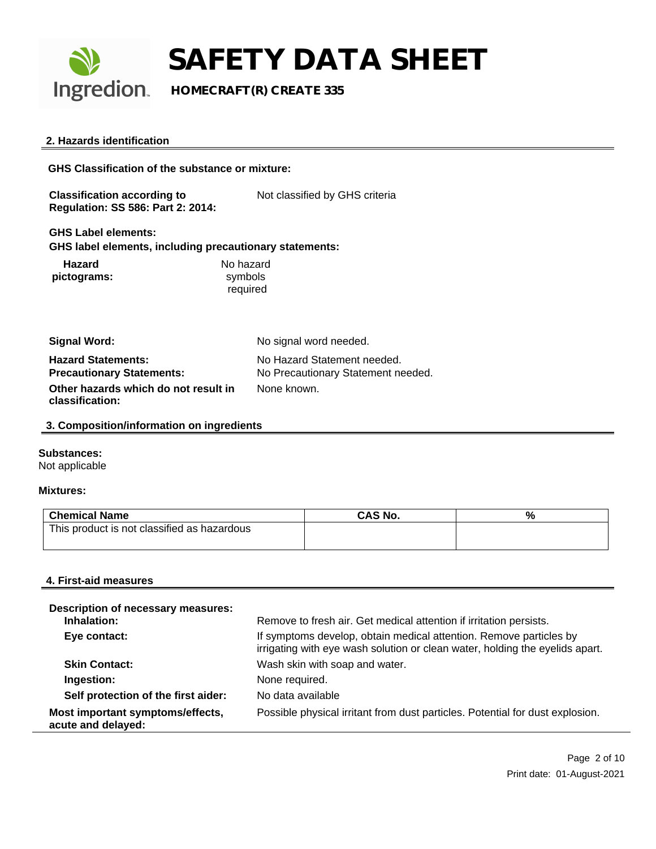

**Ingredion** HOMECRAFT(R) CREATE 335

#### **2. Hazards identification**

**GHS Classification of the substance or mixture: Classification according to Regulation: SS 586: Part 2: 2014:** Not classified by GHS criteria **GHS Label elements: GHS label elements, including precautionary statements: Hazard pictograms:** No hazard symbols required **Signal Word:** No signal word needed.

| <b>Hazard Statements:</b>            | No Hazard Statement needed.        |
|--------------------------------------|------------------------------------|
| <b>Precautionary Statements:</b>     | No Precautionary Statement needed. |
| Other hazards which do not result in | None known.                        |
| classification:                      |                                    |

#### **3. Composition/information on ingredients**

#### **Substances:**

Not applicable

#### **Mixtures:**

| <b>Chemical Name</b>                        | <b>CAS No.</b> | % |
|---------------------------------------------|----------------|---|
| This product is not classified as hazardous |                |   |
|                                             |                |   |

#### **4. First-aid measures**

| Description of necessary measures:<br>Inhalation:      | Remove to fresh air. Get medical attention if irritation persists.                                                                                 |
|--------------------------------------------------------|----------------------------------------------------------------------------------------------------------------------------------------------------|
| Eye contact:                                           | If symptoms develop, obtain medical attention. Remove particles by<br>irrigating with eye wash solution or clean water, holding the eyelids apart. |
| <b>Skin Contact:</b>                                   | Wash skin with soap and water.                                                                                                                     |
| Ingestion:                                             | None required.                                                                                                                                     |
| Self protection of the first aider:                    | No data available                                                                                                                                  |
| Most important symptoms/effects,<br>acute and delayed: | Possible physical irritant from dust particles. Potential for dust explosion.                                                                      |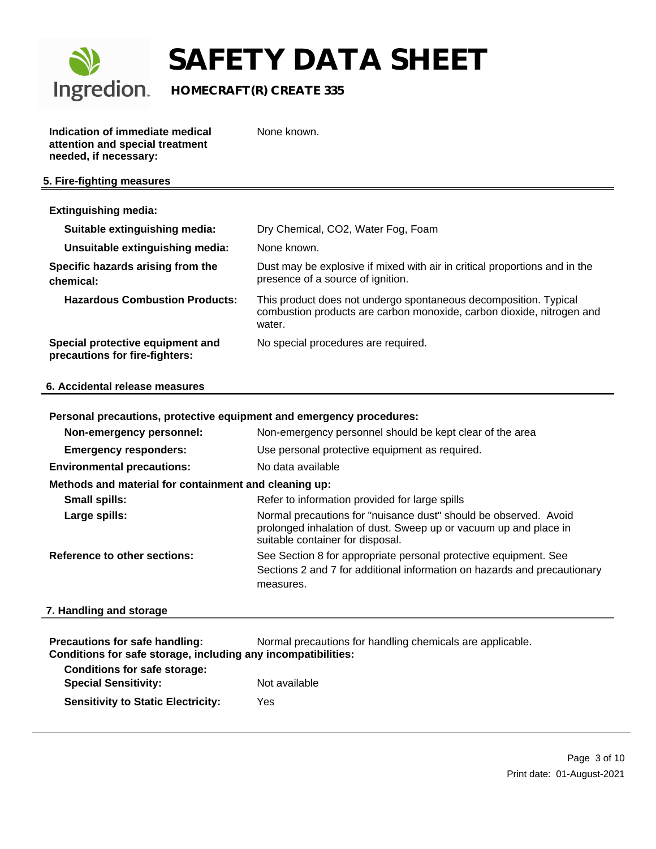

### **Ingredion** HOMECRAFT(R) CREATE 335

**Indication of immediate medical attention and special treatment needed, if necessary:**

None known.

#### **5. Fire-fighting measures**

| <b>Extinguishing media:</b>                                        |                                                                                                                                                     |
|--------------------------------------------------------------------|-----------------------------------------------------------------------------------------------------------------------------------------------------|
| Suitable extinguishing media:                                      | Dry Chemical, CO2, Water Fog, Foam                                                                                                                  |
| Unsuitable extinguishing media:                                    | None known.                                                                                                                                         |
| Specific hazards arising from the<br>chemical:                     | Dust may be explosive if mixed with air in critical proportions and in the<br>presence of a source of ignition.                                     |
| <b>Hazardous Combustion Products:</b>                              | This product does not undergo spontaneous decomposition. Typical<br>combustion products are carbon monoxide, carbon dioxide, nitrogen and<br>water. |
| Special protective equipment and<br>precautions for fire-fighters: | No special procedures are required.                                                                                                                 |

#### **6. Accidental release measures**

#### **Personal precautions, protective equipment and emergency procedures:**

| Non-emergency personnel:                              | Non-emergency personnel should be kept clear of the area                                                                                                                 |  |
|-------------------------------------------------------|--------------------------------------------------------------------------------------------------------------------------------------------------------------------------|--|
| <b>Emergency responders:</b>                          | Use personal protective equipment as required.                                                                                                                           |  |
| <b>Environmental precautions:</b>                     | No data available                                                                                                                                                        |  |
| Methods and material for containment and cleaning up: |                                                                                                                                                                          |  |
| <b>Small spills:</b>                                  | Refer to information provided for large spills                                                                                                                           |  |
| Large spills:                                         | Normal precautions for "nuisance dust" should be observed. Avoid<br>prolonged inhalation of dust. Sweep up or vacuum up and place in<br>suitable container for disposal. |  |
| Reference to other sections:                          | See Section 8 for appropriate personal protective equipment. See<br>Sections 2 and 7 for additional information on hazards and precautionary<br>measures.                |  |
|                                                       |                                                                                                                                                                          |  |

#### **7. Handling and storage**

| Normal precautions for handling chemicals are applicable.<br><b>Precautions for safe handling:</b><br>Conditions for safe storage, including any incompatibilities: |     |  |  |
|---------------------------------------------------------------------------------------------------------------------------------------------------------------------|-----|--|--|
| <b>Conditions for safe storage:</b><br><b>Special Sensitivity:</b><br>Not available                                                                                 |     |  |  |
| <b>Sensitivity to Static Electricity:</b>                                                                                                                           | Yes |  |  |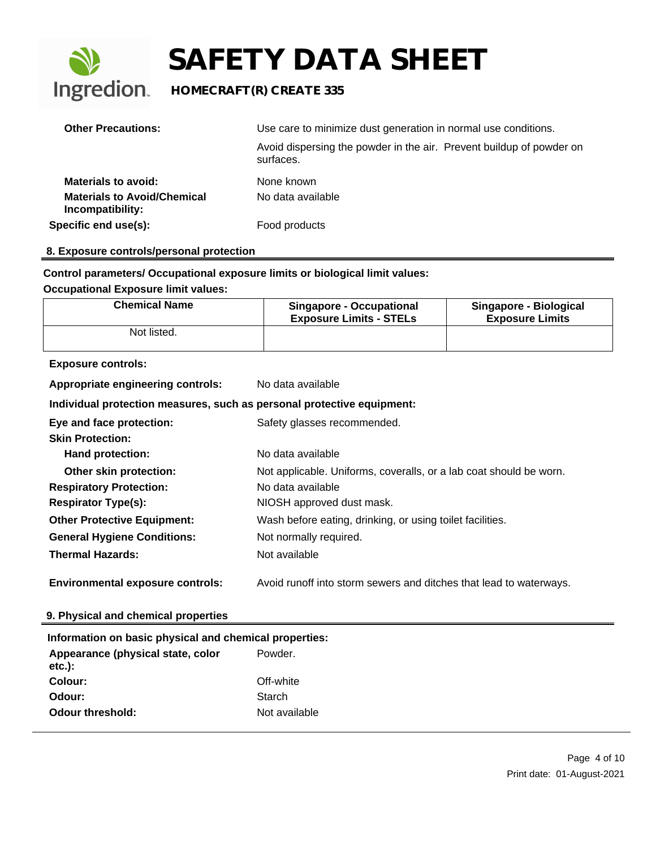

### **Ingredion** HOMECRAFT(R) CREATE 335

| <b>Other Precautions:</b>                              | Use care to minimize dust generation in normal use conditions.                    |  |
|--------------------------------------------------------|-----------------------------------------------------------------------------------|--|
|                                                        | Avoid dispersing the powder in the air. Prevent buildup of powder on<br>surfaces. |  |
| <b>Materials to avoid:</b>                             | None known                                                                        |  |
| <b>Materials to Avoid/Chemical</b><br>Incompatibility: | No data available                                                                 |  |
| Specific end use(s):                                   | Food products                                                                     |  |

#### **8. Exposure controls/personal protection**

#### **Control parameters/ Occupational exposure limits or biological limit values:**

#### **Occupational Exposure limit values:**

| <b>Chemical Name</b>                                                   | <b>Singapore - Occupational</b><br><b>Exposure Limits - STELs</b>  | Singapore - Biological<br><b>Exposure Limits</b> |  |
|------------------------------------------------------------------------|--------------------------------------------------------------------|--------------------------------------------------|--|
| Not listed.                                                            |                                                                    |                                                  |  |
| <b>Exposure controls:</b>                                              |                                                                    |                                                  |  |
| Appropriate engineering controls:<br>No data available                 |                                                                    |                                                  |  |
| Individual protection measures, such as personal protective equipment: |                                                                    |                                                  |  |
| Eye and face protection:                                               | Safety glasses recommended.                                        |                                                  |  |
| <b>Skin Protection:</b>                                                |                                                                    |                                                  |  |
| Hand protection:                                                       | No data available                                                  |                                                  |  |
| Other skin protection:                                                 | Not applicable. Uniforms, coveralls, or a lab coat should be worn. |                                                  |  |
| <b>Respiratory Protection:</b>                                         | No data available                                                  |                                                  |  |
| <b>Respirator Type(s):</b>                                             | NIOSH approved dust mask.                                          |                                                  |  |
| <b>Other Protective Equipment:</b>                                     | Wash before eating, drinking, or using toilet facilities.          |                                                  |  |
| <b>General Hygiene Conditions:</b>                                     | Not normally required.                                             |                                                  |  |
| <b>Thermal Hazards:</b>                                                | Not available                                                      |                                                  |  |
| <b>Environmental exposure controls:</b>                                | Avoid runoff into storm sewers and ditches that lead to waterways. |                                                  |  |

#### **9. Physical and chemical properties**

### **Information on basic physical and chemical properties: Appearance (physical state, color etc.):**  Powder. **Colour:** Off-white **Odour:** Starch **Odour threshold:** Not available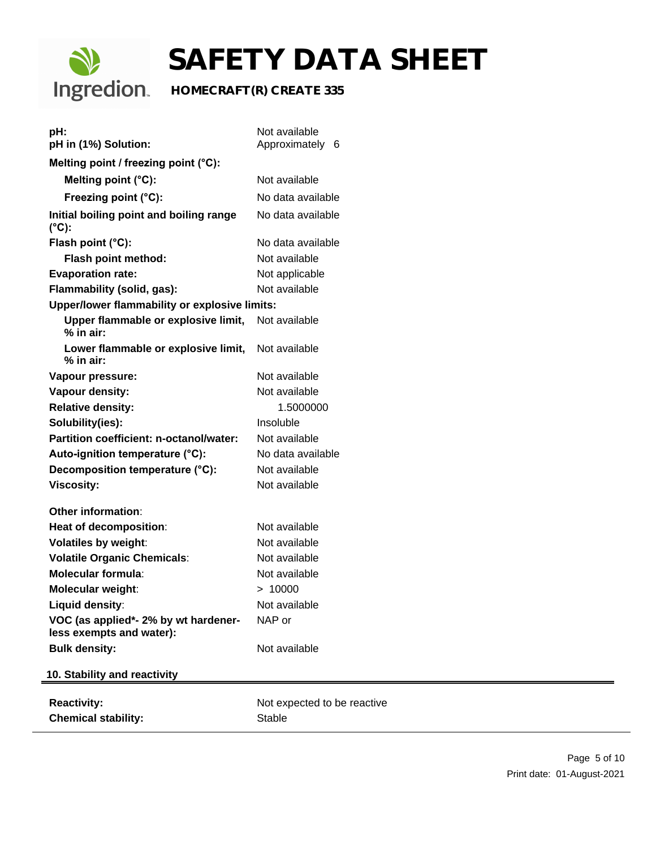

### **Ingredion** HOMECRAFT(R) CREATE 335

| pH:<br>pH in (1%) Solution:                                      | Not available<br>Approximately 6 |
|------------------------------------------------------------------|----------------------------------|
| Melting point / freezing point (°C):                             |                                  |
|                                                                  |                                  |
| Melting point (°C):                                              | Not available                    |
| Freezing point (°C):                                             | No data available                |
| Initial boiling point and boiling range<br>$(^{\circ}C)$ :       | No data available                |
| Flash point (°C):                                                | No data available                |
| Flash point method:                                              | Not available                    |
| <b>Evaporation rate:</b>                                         | Not applicable                   |
| Flammability (solid, gas):                                       | Not available                    |
| Upper/lower flammability or explosive limits:                    |                                  |
| Upper flammable or explosive limit,<br>$%$ in air:               | Not available                    |
| Lower flammable or explosive limit,<br>$%$ in air:               | Not available                    |
| Vapour pressure:                                                 | Not available                    |
| Vapour density:                                                  | Not available                    |
| <b>Relative density:</b>                                         | 1.5000000                        |
| Solubility(ies):                                                 | Insoluble                        |
| Partition coefficient: n-octanol/water:                          | Not available                    |
| Auto-ignition temperature (°C):                                  | No data available                |
| Decomposition temperature (°C):                                  | Not available                    |
| <b>Viscosity:</b>                                                | Not available                    |
| <b>Other information:</b>                                        |                                  |
| Heat of decomposition:                                           | Not available                    |
| <b>Volatiles by weight:</b>                                      | Not available                    |
| <b>Volatile Organic Chemicals:</b>                               | Not available                    |
| Molecular formula:                                               | Not available                    |
| Molecular weight:                                                | > 10000                          |
| Liquid density:                                                  | Not available                    |
| VOC (as applied*- 2% by wt hardener-<br>less exempts and water): | NAP or                           |
| <b>Bulk density:</b>                                             | Not available                    |
| 10. Stability and reactivity                                     |                                  |
|                                                                  |                                  |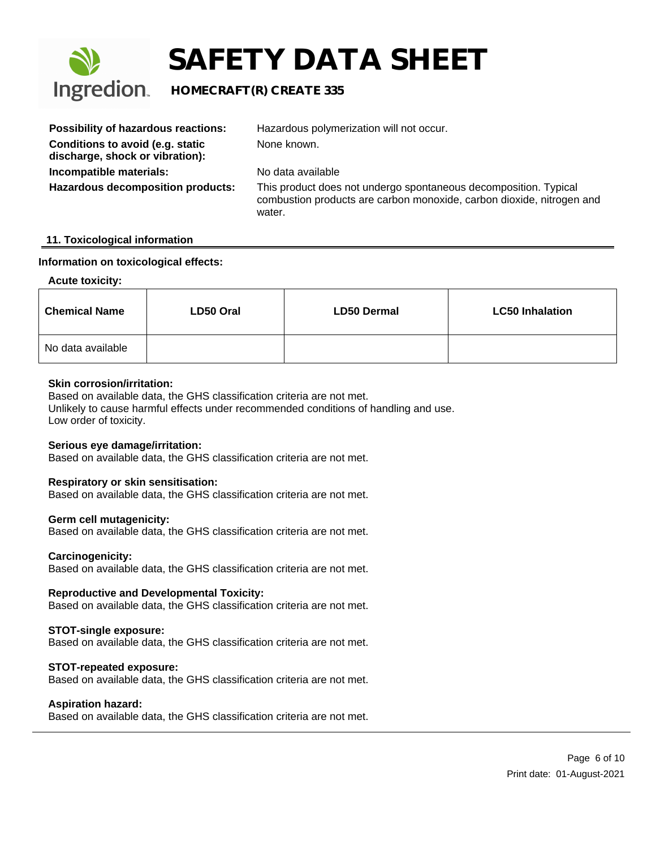

### **Ingredion** HOMECRAFT(R) CREATE 335

| <b>Possibility of hazardous reactions:</b>                          | Hazardous polymerization will not occur.                                                                                                            |
|---------------------------------------------------------------------|-----------------------------------------------------------------------------------------------------------------------------------------------------|
| Conditions to avoid (e.g. static<br>discharge, shock or vibration): | None known.                                                                                                                                         |
| Incompatible materials:                                             | No data available                                                                                                                                   |
| <b>Hazardous decomposition products:</b>                            | This product does not undergo spontaneous decomposition. Typical<br>combustion products are carbon monoxide, carbon dioxide, nitrogen and<br>water. |

#### **11. Toxicological information**

#### **Information on toxicological effects:**

#### **Acute toxicity:**

| <b>Chemical Name</b> | LD50 Oral | <b>LD50 Dermal</b> | <b>LC50 Inhalation</b> |
|----------------------|-----------|--------------------|------------------------|
| No data available    |           |                    |                        |

#### **Skin corrosion/irritation:**

Based on available data, the GHS classification criteria are not met. Unlikely to cause harmful effects under recommended conditions of handling and use. Low order of toxicity.

#### **Serious eye damage/irritation:**

Based on available data, the GHS classification criteria are not met.

#### **Respiratory or skin sensitisation:**

Based on available data, the GHS classification criteria are not met.

#### **Germ cell mutagenicity:**

Based on available data, the GHS classification criteria are not met.

#### **Carcinogenicity:**

Based on available data, the GHS classification criteria are not met.

#### **Reproductive and Developmental Toxicity:**

Based on available data, the GHS classification criteria are not met.

#### **STOT-single exposure:**

Based on available data, the GHS classification criteria are not met.

#### **STOT-repeated exposure:**

Based on available data, the GHS classification criteria are not met.

#### **Aspiration hazard:**

Based on available data, the GHS classification criteria are not met.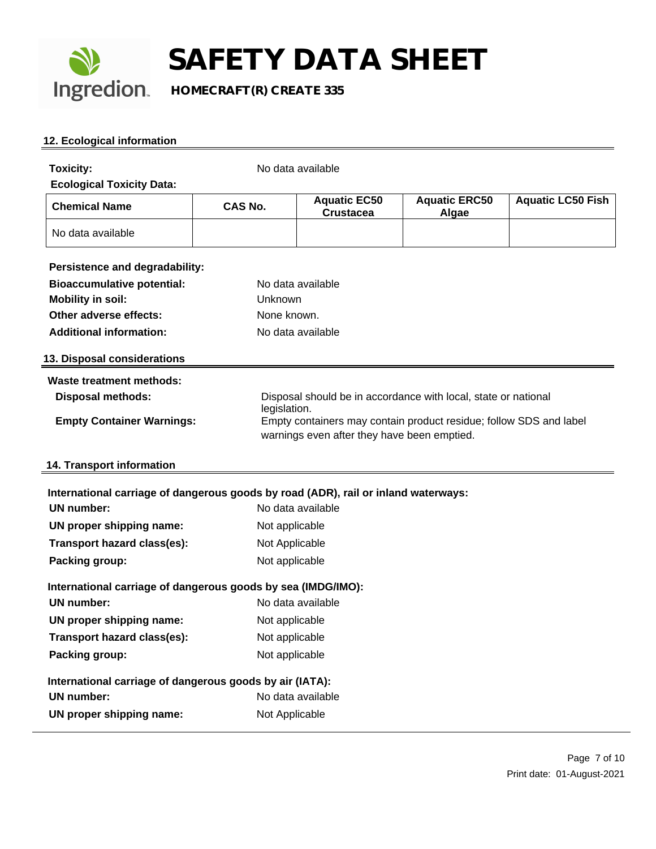

#### **12. Ecological information**

| <b>Toxicity:</b><br><b>Ecological Toxicity Data:</b>                               |                | No data available                           |                                                                    |                          |
|------------------------------------------------------------------------------------|----------------|---------------------------------------------|--------------------------------------------------------------------|--------------------------|
| <b>Chemical Name</b>                                                               | <b>CAS No.</b> | <b>Aquatic EC50</b><br><b>Crustacea</b>     | <b>Aquatic ERC50</b><br>Algae                                      | <b>Aquatic LC50 Fish</b> |
| No data available                                                                  |                |                                             |                                                                    |                          |
| Persistence and degradability:                                                     |                |                                             |                                                                    |                          |
| <b>Bioaccumulative potential:</b>                                                  |                | No data available                           |                                                                    |                          |
| <b>Mobility in soil:</b>                                                           | Unknown        |                                             |                                                                    |                          |
| Other adverse effects:                                                             | None known.    |                                             |                                                                    |                          |
| <b>Additional information:</b>                                                     |                | No data available                           |                                                                    |                          |
| 13. Disposal considerations                                                        |                |                                             |                                                                    |                          |
| Waste treatment methods:                                                           |                |                                             |                                                                    |                          |
| <b>Disposal methods:</b>                                                           |                |                                             | Disposal should be in accordance with local, state or national     |                          |
| <b>Empty Container Warnings:</b>                                                   | legislation.   | warnings even after they have been emptied. | Empty containers may contain product residue; follow SDS and label |                          |
| 14. Transport information                                                          |                |                                             |                                                                    |                          |
| International carriage of dangerous goods by road (ADR), rail or inland waterways: |                |                                             |                                                                    |                          |
| <b>UN number:</b>                                                                  |                | No data available                           |                                                                    |                          |
| UN proper shipping name:                                                           | Not applicable |                                             |                                                                    |                          |
| Transport hazard class(es):                                                        | Not Applicable |                                             |                                                                    |                          |
| Packing group:                                                                     | Not applicable |                                             |                                                                    |                          |
| International carriage of dangerous goods by sea (IMDG/IMO):                       |                |                                             |                                                                    |                          |
| <b>UN number:</b>                                                                  |                | No data available                           |                                                                    |                          |
| UN proper shipping name:                                                           | Not applicable |                                             |                                                                    |                          |
| Transport hazard class(es):                                                        | Not applicable |                                             |                                                                    |                          |
| Packing group:                                                                     | Not applicable |                                             |                                                                    |                          |
| International carriage of dangerous goods by air (IATA):                           |                |                                             |                                                                    |                          |
| <b>UN number:</b>                                                                  |                | No data available                           |                                                                    |                          |
| UN proper shipping name:                                                           | Not Applicable |                                             |                                                                    |                          |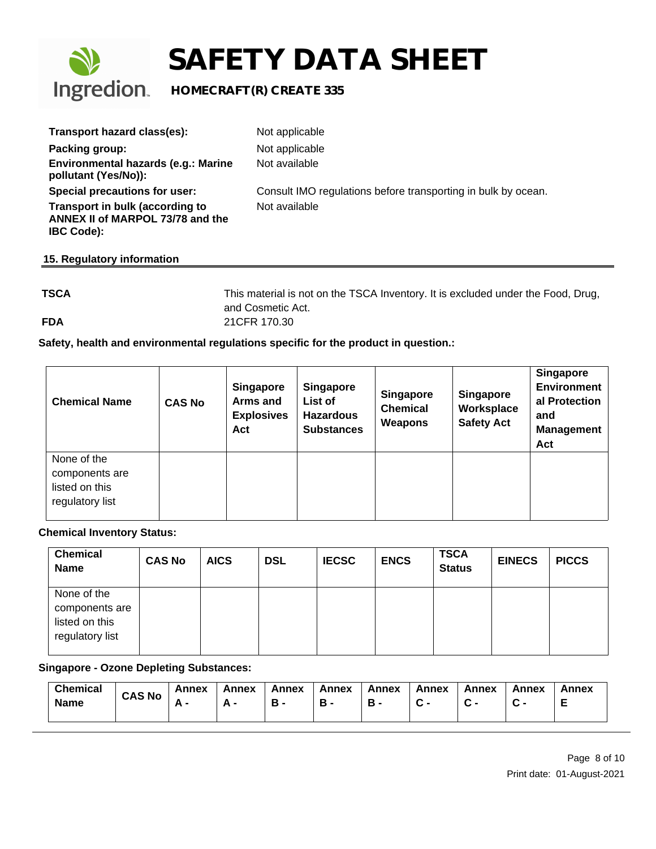

| Transport hazard class(es):                                                              | Not applicable                                                |
|------------------------------------------------------------------------------------------|---------------------------------------------------------------|
| Packing group:                                                                           | Not applicable                                                |
| Environmental hazards (e.g.: Marine<br>pollutant (Yes/No)):                              | Not available                                                 |
| Special precautions for user:                                                            | Consult IMO regulations before transporting in bulk by ocean. |
| Transport in bulk (according to<br>ANNEX II of MARPOL 73/78 and the<br><b>IBC Code):</b> | Not available                                                 |
| 15. Regulatory information                                                               |                                                               |

**TSCA** This material is not on the TSCA Inventory. It is excluded under the Food, Drug, and Cosmetic Act. **FDA** 21CFR 170.30

#### **Safety, health and environmental regulations specific for the product in question.:**

| <b>Chemical Name</b>                                               | <b>CAS No</b> | <b>Singapore</b><br>Arms and<br><b>Explosives</b><br>Act | <b>Singapore</b><br>List of<br><b>Hazardous</b><br><b>Substances</b> | <b>Singapore</b><br><b>Chemical</b><br>Weapons | <b>Singapore</b><br>Worksplace<br><b>Safety Act</b> | <b>Singapore</b><br><b>Environment</b><br>al Protection<br>and<br><b>Management</b><br>Act |
|--------------------------------------------------------------------|---------------|----------------------------------------------------------|----------------------------------------------------------------------|------------------------------------------------|-----------------------------------------------------|--------------------------------------------------------------------------------------------|
| None of the<br>components are<br>listed on this<br>regulatory list |               |                                                          |                                                                      |                                                |                                                     |                                                                                            |

#### **Chemical Inventory Status:**

| <b>Chemical</b><br>Name                                            | <b>CAS No</b> | <b>AICS</b> | <b>DSL</b> | <b>IECSC</b> | <b>ENCS</b> | <b>TSCA</b><br><b>Status</b> | <b>EINECS</b> | <b>PICCS</b> |
|--------------------------------------------------------------------|---------------|-------------|------------|--------------|-------------|------------------------------|---------------|--------------|
| None of the<br>components are<br>listed on this<br>regulatory list |               |             |            |              |             |                              |               |              |

#### **Singapore - Ozone Depleting Substances:**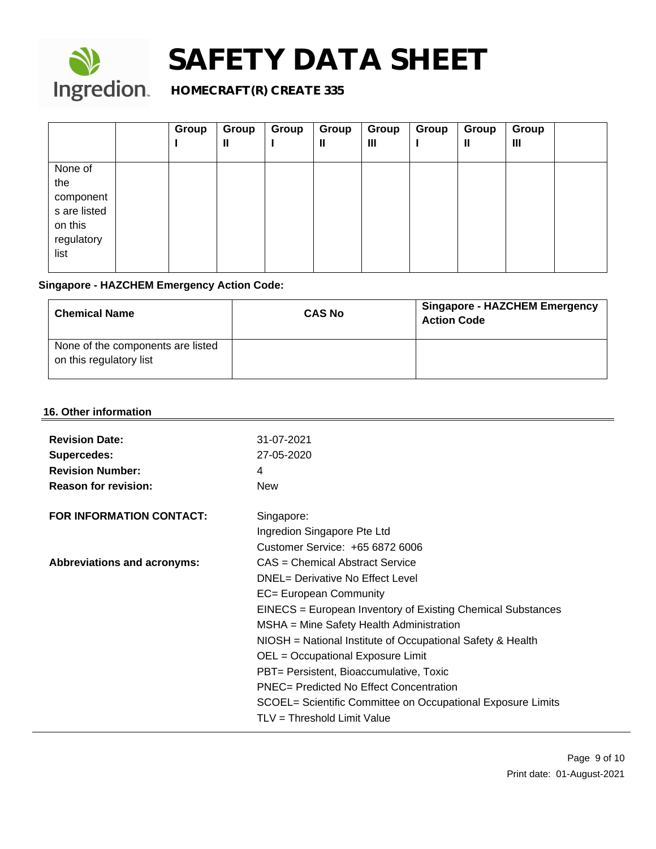

### **Ingredion.** HOMECRAFT(R) CREATE 335

|              | Group | Group<br>Ш | Group<br>ш | Group<br>Ш | Group<br>$\mathbf{III}$ | Group<br>ш | Group<br>Ш | Group<br>Ш |  |
|--------------|-------|------------|------------|------------|-------------------------|------------|------------|------------|--|
| None of      |       |            |            |            |                         |            |            |            |  |
| the          |       |            |            |            |                         |            |            |            |  |
| component    |       |            |            |            |                         |            |            |            |  |
| s are listed |       |            |            |            |                         |            |            |            |  |
| on this      |       |            |            |            |                         |            |            |            |  |
| regulatory   |       |            |            |            |                         |            |            |            |  |
| list         |       |            |            |            |                         |            |            |            |  |
|              |       |            |            |            |                         |            |            |            |  |

### **Singapore - HAZCHEM Emergency Action Code:**

| <b>Chemical Name</b>                                         | <b>CAS No</b> | <b>Singapore - HAZCHEM Emergency</b><br><b>Action Code</b> |
|--------------------------------------------------------------|---------------|------------------------------------------------------------|
| None of the components are listed<br>on this regulatory list |               |                                                            |

#### **16. Other information**

| <b>Revision Number:</b><br>4<br><b>Reason for revision:</b><br><b>New</b><br><b>FOR INFORMATION CONTACT:</b><br>Singapore:<br>Ingredion Singapore Pte Ltd<br>Customer Service: +65 6872 6006<br>CAS = Chemical Abstract Service<br><b>Abbreviations and acronyms:</b><br>DNEL= Derivative No Effect Level<br>EC= European Community<br>EINECS = European Inventory of Existing Chemical Substances<br>MSHA = Mine Safety Health Administration<br>NIOSH = National Institute of Occupational Safety & Health<br>OEL = Occupational Exposure Limit |
|---------------------------------------------------------------------------------------------------------------------------------------------------------------------------------------------------------------------------------------------------------------------------------------------------------------------------------------------------------------------------------------------------------------------------------------------------------------------------------------------------------------------------------------------------|
|                                                                                                                                                                                                                                                                                                                                                                                                                                                                                                                                                   |
|                                                                                                                                                                                                                                                                                                                                                                                                                                                                                                                                                   |
|                                                                                                                                                                                                                                                                                                                                                                                                                                                                                                                                                   |
|                                                                                                                                                                                                                                                                                                                                                                                                                                                                                                                                                   |
|                                                                                                                                                                                                                                                                                                                                                                                                                                                                                                                                                   |
|                                                                                                                                                                                                                                                                                                                                                                                                                                                                                                                                                   |
|                                                                                                                                                                                                                                                                                                                                                                                                                                                                                                                                                   |
|                                                                                                                                                                                                                                                                                                                                                                                                                                                                                                                                                   |
|                                                                                                                                                                                                                                                                                                                                                                                                                                                                                                                                                   |
|                                                                                                                                                                                                                                                                                                                                                                                                                                                                                                                                                   |
|                                                                                                                                                                                                                                                                                                                                                                                                                                                                                                                                                   |
|                                                                                                                                                                                                                                                                                                                                                                                                                                                                                                                                                   |
| PBT= Persistent, Bioaccumulative, Toxic                                                                                                                                                                                                                                                                                                                                                                                                                                                                                                           |
| <b>PNEC= Predicted No Effect Concentration</b>                                                                                                                                                                                                                                                                                                                                                                                                                                                                                                    |
| SCOEL= Scientific Committee on Occupational Exposure Limits                                                                                                                                                                                                                                                                                                                                                                                                                                                                                       |
| TLV = Threshold Limit Value                                                                                                                                                                                                                                                                                                                                                                                                                                                                                                                       |